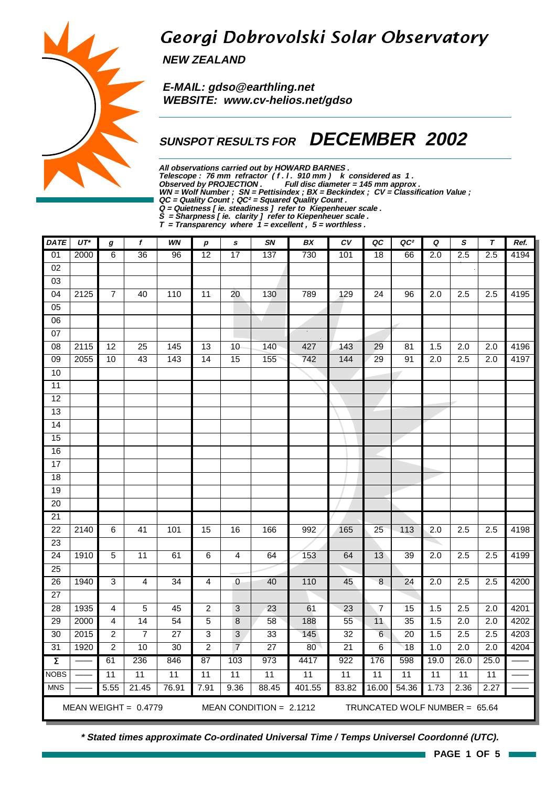# Georgi Dobrovolski Solar Observatory

**NEW ZEALAND**

 **E-MAIL: gdso@earthling.net WEBSITE: www.cv-helios.net/gdso**

## **SUNSPOT RESULTS FOR DECEMBER 2002**

**All observations carried out by HOWARD BARNES .**

Telescope : 76 mm refractor (f. l. 910 mm) k considered as 1. **Observed by PROJECTION . Full disc diameter = 145 mm approx .**

**WN = Wolf Number ; SN = Pettisindex ; BX = Beckindex ; CV = Classification Value ;**

**QC = Quality Count ; QC² = Squared Quality Count .**

**Q = Quietness [ ie. steadiness ] refer to Kiepenheuer scale .**

**S = Sharpness [ ie. clarity ] refer to Kiepenheuer scale .**

**T = Transparency where 1 = excellent , 5 = worthless .**

| <b>DATE</b>                                                                          | $UT^*$                                                                                      | $\pmb{g}$        | f               | <b>WN</b>       | р               | $\mathbf s$     | SN              | BX     | c <sub>V</sub>  | QC              | QC <sup>2</sup> | Q                | S                | $\tau$           | Ref. |
|--------------------------------------------------------------------------------------|---------------------------------------------------------------------------------------------|------------------|-----------------|-----------------|-----------------|-----------------|-----------------|--------|-----------------|-----------------|-----------------|------------------|------------------|------------------|------|
| 01                                                                                   | 2000                                                                                        | 6                | 36              | 96              | 12              | $\overline{17}$ | 137             | 730    | 101             | 18              | 66              | 2.0              | 2.5              | 2.5              | 4194 |
| 02                                                                                   |                                                                                             |                  |                 |                 |                 |                 |                 |        |                 |                 |                 |                  |                  |                  |      |
| $\overline{03}$                                                                      |                                                                                             |                  |                 |                 |                 |                 |                 |        |                 |                 |                 |                  |                  |                  |      |
| 04                                                                                   | 2125                                                                                        | $\boldsymbol{7}$ | 40              | 110             | 11              | 20              | 130             | 789    | 129             | 24              | 96              | 2.0              | 2.5              | 2.5              | 4195 |
| 05                                                                                   |                                                                                             |                  |                 |                 |                 |                 |                 |        |                 |                 |                 |                  |                  |                  |      |
| 06                                                                                   |                                                                                             |                  |                 |                 |                 |                 |                 |        |                 |                 |                 |                  |                  |                  |      |
| $\overline{07}$                                                                      |                                                                                             |                  |                 |                 |                 |                 |                 | $\sim$ |                 |                 |                 |                  |                  |                  |      |
| $\overline{08}$                                                                      | 2115                                                                                        | $\overline{12}$  | $\overline{25}$ | 145             | 13              | $\overline{10}$ | 140             | 427    | 143             | 29              | 81              | 1.5              | $\overline{2.0}$ | $\overline{2.0}$ | 4196 |
| 09                                                                                   | 2055                                                                                        | 10               | 43              | $\frac{1}{143}$ | 14              | 15              | 155             | 742    | 144             | 29              | 91              | 2.0              | 2.5              | $\overline{2.0}$ | 4197 |
| 10                                                                                   |                                                                                             |                  |                 |                 |                 |                 |                 |        |                 |                 |                 |                  |                  |                  |      |
| $\overline{11}$                                                                      |                                                                                             |                  |                 |                 |                 |                 |                 |        |                 |                 |                 |                  |                  |                  |      |
| $\overline{12}$                                                                      |                                                                                             |                  |                 |                 |                 |                 |                 |        |                 |                 |                 |                  |                  |                  |      |
| $\overline{13}$                                                                      |                                                                                             |                  |                 |                 |                 |                 |                 |        |                 |                 |                 |                  |                  |                  |      |
| $\overline{14}$                                                                      |                                                                                             |                  |                 |                 |                 |                 |                 |        |                 |                 |                 |                  |                  |                  |      |
| 15                                                                                   |                                                                                             |                  |                 |                 |                 |                 |                 |        |                 |                 |                 |                  |                  |                  |      |
| 16                                                                                   |                                                                                             |                  |                 |                 |                 |                 |                 |        |                 |                 |                 |                  |                  |                  |      |
| 17                                                                                   |                                                                                             |                  |                 |                 |                 |                 |                 |        |                 |                 |                 |                  |                  |                  |      |
| $\overline{18}$                                                                      |                                                                                             |                  |                 |                 |                 |                 |                 |        |                 |                 |                 |                  |                  |                  |      |
| 19                                                                                   |                                                                                             |                  |                 |                 |                 |                 |                 |        |                 |                 |                 |                  |                  |                  |      |
| 20                                                                                   |                                                                                             |                  |                 |                 |                 |                 |                 |        |                 |                 |                 |                  |                  |                  |      |
| $\overline{21}$                                                                      |                                                                                             |                  |                 |                 |                 |                 |                 |        |                 |                 |                 |                  |                  |                  |      |
| $\overline{22}$                                                                      | 2140                                                                                        | $\overline{6}$   | 41              | 101             | $\overline{15}$ | 16              | 166             | 992    | 165             | $\overline{25}$ | 113             | $\overline{2.0}$ | 2.5              | 2.5              | 4198 |
| $\overline{23}$                                                                      |                                                                                             |                  |                 |                 |                 |                 |                 |        |                 |                 |                 |                  |                  |                  |      |
| $\overline{24}$                                                                      | 1910                                                                                        | $\overline{5}$   | $\overline{11}$ | 61              | 6               | $\overline{4}$  | 64              | 153    | 64              | 13              | 39              | $\overline{2.0}$ | 2.5              | $\overline{2.5}$ | 4199 |
| 25                                                                                   |                                                                                             |                  |                 |                 |                 |                 |                 |        |                 |                 |                 |                  |                  |                  |      |
| $\overline{26}$<br>$\overline{27}$                                                   | 1940                                                                                        | $\overline{3}$   | $\overline{4}$  | $\overline{34}$ | $\overline{4}$  | $\mathbf 0$     | 40              | 110    | 45              | $\overline{8}$  | 24              | $\overline{2.0}$ | 2.5              | 2.5              | 4200 |
| 28                                                                                   | 1935                                                                                        | 4                | $\overline{5}$  | 45              | $\overline{2}$  | $\overline{3}$  | 23              | 61     | $\overline{23}$ | $\overline{7}$  | $\overline{15}$ | 1.5              | 2.5              | $\overline{2.0}$ | 4201 |
| 29                                                                                   | 2000                                                                                        | 4                | 14              | 54              | $\overline{5}$  | 8               | 58              | 188    | 55              | 11              | 35              | 1.5              | $\overline{2.0}$ | 2.0              | 4202 |
| $\overline{30}$                                                                      | 2015                                                                                        | $\overline{c}$   | $\overline{7}$  | $\overline{27}$ | 3               | 3               | 33              | 145    | 32              | 6               | $\overline{20}$ | 1.5              | 2.5              | 2.5              | 4203 |
| $\overline{31}$                                                                      | 1920                                                                                        | $\overline{2}$   | 10              | $\overline{30}$ | $\overline{2}$  | $\overline{7}$  | $\overline{27}$ | 80     | $\overline{21}$ | 6               | $\overline{18}$ | 1.0              | 2.0              | $\overline{2.0}$ | 4204 |
| $\overline{\Sigma}$                                                                  |                                                                                             | 61               | 236             | 846             | 87              | 103             | 973             | 4417   | 922             | 176             | 598             | 19.0             | 26.0             | 25.0             |      |
| <b>NOBS</b>                                                                          |                                                                                             | $\overline{11}$  | 11              | 11              | 11              | 11              | 11              | 11     | 11              | 11              | $\overline{11}$ | 11               | 11               | 11               |      |
| <b>MNS</b>                                                                           |                                                                                             | 5.55             | 21.45           |                 |                 |                 |                 |        |                 |                 |                 |                  |                  |                  |      |
|                                                                                      | 76.91<br>1.73<br>2.36<br>7.91<br>9.36<br>88.45<br>401.55<br>83.82<br>16.00<br>54.36<br>2.27 |                  |                 |                 |                 |                 |                 |        |                 |                 |                 |                  |                  |                  |      |
| MEAN WEIGHT = $0.4779$<br>MEAN CONDITION = $2.1212$<br>TRUNCATED WOLF NUMBER = 65.64 |                                                                                             |                  |                 |                 |                 |                 |                 |        |                 |                 |                 |                  |                  |                  |      |

**\* Stated times approximate Co-ordinated Universal Time / Temps Universel Coordonné (UTC).**

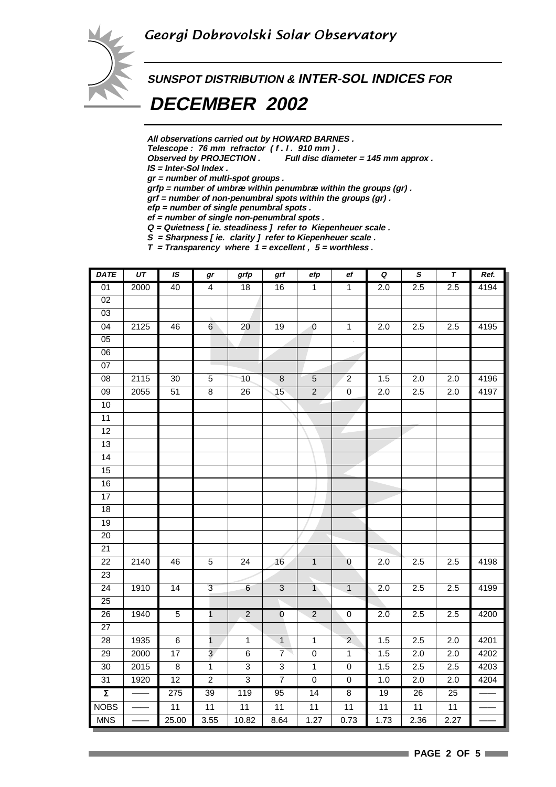

# **SUNSPOT DISTRIBUTION & INTER-SOL INDICES FOR**

## **DECEMBER 2002**

**All observations carried out by HOWARD BARNES .**

Telescope : 76 mm refractor (f. l. 910 mm).<br>Observed by PROJECTION . Full disc diam

Full disc diameter = 145 mm approx .

**IS = Inter-Sol Index .**

**gr = number of multi-spot groups .**

**grfp = number of umbræ within penumbræ within the groups (gr) .**

**grf = number of non-penumbral spots within the groups (gr) .**

**efp = number of single penumbral spots .**

**ef = number of single non-penumbral spots . Q = Quietness [ ie. steadiness ] refer to Kiepenheuer scale .**

**S = Sharpness [ ie. clarity ] refer to Kiepenheuer scale .**

**T = Transparency where 1 = excellent , 5 = worthless .**

| <b>DATE</b>         | $\overline{UT}$ | IS              | gr                      | grfp            | grf            | efp            | ef                 | $\pmb Q$         | $\pmb S$ | $\pmb{\tau}$ | Ref. |
|---------------------|-----------------|-----------------|-------------------------|-----------------|----------------|----------------|--------------------|------------------|----------|--------------|------|
| 01                  | 2000            | 40              | $\overline{4}$          | 18              | 16             | $\overline{1}$ | $\overline{1}$     | 2.0              | 2.5      | 2.5          | 4194 |
| 02                  |                 |                 |                         |                 |                |                |                    |                  |          |              |      |
| 03                  |                 |                 |                         |                 |                |                |                    |                  |          |              |      |
| $\overline{04}$     | 2125            | 46              | $6\overline{6}$         | 20              | 19             | $\mathbb O$    | $\overline{1}$     | 2.0              | 2.5      | 2.5          | 4195 |
| $\overline{05}$     |                 |                 |                         |                 |                |                | $\hat{\mathbf{r}}$ |                  |          |              |      |
| $\overline{06}$     |                 |                 |                         |                 |                |                |                    |                  |          |              |      |
| $07\,$              |                 |                 |                         |                 |                |                |                    |                  |          |              |      |
| $\overline{08}$     | 2115            | 30              | $\overline{5}$          | 10              | $\bf 8$        | $\sqrt{5}$     | $\overline{2}$     | 1.5              | 2.0      | 2.0          | 4196 |
| $\overline{09}$     | 2055            | $\overline{51}$ | $\overline{8}$          | $\overline{26}$ | 15             | $\overline{2}$ | $\overline{0}$     | 2.0              | 2.5      | 2.0          | 4197 |
| 10                  |                 |                 |                         |                 |                |                |                    |                  |          |              |      |
| 11                  |                 |                 |                         |                 |                |                |                    |                  |          |              |      |
| $\overline{12}$     |                 |                 |                         |                 |                |                |                    |                  |          |              |      |
| 13                  |                 |                 |                         |                 |                |                |                    |                  |          |              |      |
| 14                  |                 |                 |                         |                 |                |                |                    |                  |          |              |      |
| 15                  |                 |                 |                         |                 |                |                |                    |                  |          |              |      |
| 16                  |                 |                 |                         |                 |                |                |                    |                  |          |              |      |
| 17                  |                 |                 |                         |                 |                |                |                    |                  |          |              |      |
| 18                  |                 |                 |                         |                 |                |                |                    |                  |          |              |      |
| 19                  |                 |                 |                         |                 |                |                |                    |                  |          |              |      |
| $\overline{20}$     |                 |                 |                         |                 |                |                |                    |                  |          |              |      |
| 21                  |                 |                 |                         |                 |                |                |                    |                  |          |              |      |
| $\overline{22}$     | 2140            | 46              | $\overline{5}$          | 24              | 16             | $\overline{1}$ | $\overline{0}$     | 2.0              | 2.5      | 2.5          | 4198 |
| 23                  |                 |                 |                         |                 |                |                |                    |                  |          |              |      |
| $\overline{24}$     | 1910            | $\overline{14}$ | $\overline{3}$          | $6 \overline{}$ | $\overline{3}$ | $\overline{1}$ | $\overline{1}$     | $\overline{2.0}$ | 2.5      | 2.5          | 4199 |
| 25                  |                 |                 |                         |                 |                |                |                    |                  |          |              |      |
| $\overline{26}$     | 1940            | $\overline{5}$  | $\overline{1}$          | $\overline{2}$  | $\pmb{0}$      | $\overline{2}$ | $\pmb{0}$          | $2.\overline{0}$ | 2.5      | 2.5          | 4200 |
| $\overline{27}$     |                 |                 |                         |                 |                |                |                    |                  |          |              |      |
| $\overline{28}$     | 1935            | $\overline{6}$  | $\overline{1}$          | $\mathbf{1}$    | $\overline{1}$ | $\overline{1}$ | $\overline{2}$     | 1.5              | 2.5      | 2.0          | 4201 |
| 29                  | 2000            | 17              | $\overline{\mathbf{3}}$ | 6               | $\overline{7}$ | $\pmb{0}$      | $\mathbf{1}$       | 1.5              | 2.0      | 2.0          | 4202 |
| $\overline{30}$     | 2015            | $\overline{8}$  | $\overline{1}$          | $\overline{3}$  | $\overline{3}$ | $\overline{1}$ | $\overline{0}$     | 1.5              | 2.5      | 2.5          | 4203 |
| 31                  | 1920            | 12              | $\overline{c}$          | $\sqrt{3}$      | $\overline{7}$ | $\mathbf 0$    | $\mathbf 0$        | 1.0              | 2.0      | 2.0          | 4204 |
| $\overline{\Sigma}$ |                 | 275             | 39                      | 119             | 95             | 14             | $\overline{8}$     | 19               | 26       | 25           |      |
| <b>NOBS</b>         |                 | $\overline{11}$ | 11                      | 11              | 11             | 11             | 11                 | 11               | 11       | 11           |      |
| <b>MNS</b>          |                 | 25.00           | 3.55                    | 10.82           | 8.64           | 1.27           | 0.73               | 1.73             | 2.36     | 2.27         |      |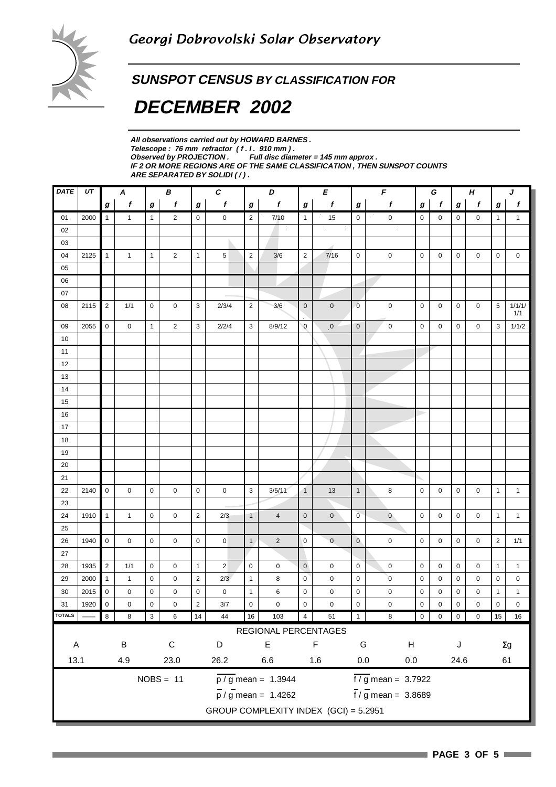### **SUNSPOT CENSUS BY CLASSIFICATION FOR**

# **DECEMBER 2002**

**All observations carried out by HOWARD BARNES .** Telescope : 76 mm refractor (f. l. 910 mm).<br>Observed by PROJECTION . Full disc dian **Full disc diameter = 145 mm approx . IF 2 OR MORE REGIONS ARE OF THE SAME CLASSIFICATION , THEN SUNSPOT COUNTS ARE SEPARATED BY SOLIDI ( / ) .**

| $\pmb{f}$<br>$\pmb{f}$<br>$\pmb{f}$<br>$\pmb{f}$<br>f<br>$\boldsymbol{f}$<br>$\pmb{f}$<br>$\boldsymbol{f}$<br>$\pmb{f}$<br>$\boldsymbol{g}$<br>$\bm{g}$<br>$\pmb{g}$<br>$\boldsymbol{g}$<br>$\boldsymbol{g}$<br>$\pmb{g}$<br>g<br>$\boldsymbol{g}$<br>$\boldsymbol{g}$<br>$\pmb{0}$<br>2000<br>$\mathbf{1}$<br>$\mathbf{1}$<br>$\overline{2}$<br>$\mathsf{O}\xspace$<br>$\mathbf 0$<br>$\overline{2}$<br>7/10<br>$\mathbf{1}$<br>15<br>$\pmb{0}$<br>$\pmb{0}$<br>0<br>01<br>$\mathbf{1}$<br>0<br>0<br>$\mathbf{1}$<br>$\mathbf{1}$<br>02<br>03<br>$\sqrt{2}$<br>$\overline{2}$<br>04<br>$\mathbf{1}$<br>$\mathbf{1}$<br>$\mathbf{1}$<br>$\overline{c}$<br>$\mathbf{1}$<br>5<br>$3/6$<br>7/16<br>$\pmb{0}$<br>$\pmb{0}$<br>$\mathsf 0$<br>$\mathsf 0$<br>$\mathsf 0$<br>$\mathsf 0$<br>$\pmb{0}$<br>$\pmb{0}$<br>2125<br>05<br>06<br>07<br>$\sqrt{2}$<br>3<br>$\overline{2}$<br>$\pmb{0}$<br>$\mathbf 0$<br>$\overline{0}$<br>$\pmb{0}$<br>$\pmb{0}$<br>$\pmb{0}$<br>5<br>08<br>2115<br>1/1<br>0<br>0<br>2/3/4<br>3/6<br>0<br>$\mathbf 0$<br>1/1<br>$\mathbf 0$<br>$\mathbf{3}$<br>$\pmb{0}$<br>09<br>2055<br>0<br>$\overline{2}$<br>2/2/4<br>3<br>8/9/12<br>$\mathbf 0$<br>$\pmb{0}$<br>$\mathbf 0$<br>$\mathbf 0$<br>0<br>0<br>0<br>3<br>$\mathbf{1}$<br>10<br>11<br>12<br>13<br>14<br>15<br>$16\,$<br>$17\,$<br>18<br>19<br>20<br>21<br>$\mathbf 0$<br>3<br>22<br>2140<br>0<br>$\mathbf 0$<br>$\mathbf 0$<br>$\mathbf 0$<br>0<br>3/5/11<br>$\mathbf{1}$<br>13<br>$\mathbf{1}$<br>8<br>$\mathbf 0$<br>$\mathbf 0$<br>0<br>0<br>$\mathbf{1}$<br>$\mathbf{1}$<br>23<br>$\mathbf{1}$<br>$\sqrt{2}$<br>24<br>1910<br>$\mathbf{1}$<br>2/3<br>$\overline{4}$<br>$\pmb{0}$<br>$\mathsf{O}\xspace$<br>$\overline{0}$<br>$\mathbf{0}$<br>$\mathbf 0$<br>0<br>$\mathbf{1}$<br>$\mathbf{1}$<br>$\mathbf 0$<br>0<br>$\overline{1}$<br>0<br>0<br>25<br>$\mathsf 0$<br>0<br>$\mathsf 0$<br>$\mathsf{O}\xspace$<br>$\mathbf{1}$<br>$\sqrt{2}$<br>$\mathbf 0$<br>$\pmb{0}$<br>$\mathbf{0}$<br>$\pmb{0}$<br>$\overline{2}$<br>26<br>1940<br>$\mathbf 0$<br>0<br>$\mathbf 0$<br>$\mathbf 0$<br>0<br>0<br>1/1<br>27<br>$\overline{c}$<br>28<br>1935<br>1/1<br>$\mathbf{1}$<br>$\overline{2}$<br>$\mathsf{O}\xspace$<br>$\pmb{0}$<br>$\mathbf 0$<br>0<br>$\mathbf 0$<br>0<br>$\mathbf 0$<br>$\pmb{0}$<br>$\pmb{0}$<br>0<br>$\mathbf 0$<br>$\pmb{0}$<br>$\mathbf{1}$<br>$\mathbf{1}$<br>$\overline{c}$<br>2/3<br>$\mathsf 0$<br>$\alpha$<br>29<br>2000<br>$\mathbf{1}$<br>$\mathbf 0$<br>$\mathbf{1}$<br>8<br>$\pmb{0}$<br>$\pmb{0}$<br>$\pmb{0}$<br>0<br>0<br>0<br>0<br>$\mathbf{1}$<br>0<br>0<br>$30\,$<br>$\pmb{0}$<br>$\mathsf 0$<br>$\pmb{0}$<br>$\mathbf{1}$<br>6<br>$\mathsf 0$<br>$\pmb{0}$<br>$\pmb{0}$<br>2015<br>0<br>0<br>0<br>$\pmb{0}$<br>$\pmb{0}$<br>0<br>0<br>0<br>$\mathbf{1}$<br>$\mathbf{1}$<br>$\mathbf{0}$<br>$\overline{2}$<br>31<br>1920<br>$\Omega$<br>$\Omega$<br>$\Omega$<br>$\Omega$<br>$\Omega$<br>$\Omega$<br>$\Omega$<br>$\Omega$<br>$\Omega$<br>$\Omega$<br>$\Omega$<br>$\Omega$<br>$\Omega$<br>3/7<br>$\Omega$<br>$\Omega$<br>TOTALS<br>$16\,$<br>103<br>15 <sub>1</sub><br>16<br>44<br>4<br>51<br>6<br>14<br>0<br>8<br>8<br>3<br>REGIONAL PERCENTAGES<br>$\mathsf E$<br>$\mathsf C$<br>F<br>$\sf B$<br>D<br>G<br>$\boldsymbol{\mathsf{H}}$<br>$\mathsf J$<br>$\mathsf A$<br>$\Sigma g$<br>13.1<br>$0.0\,$<br>4.9<br>23.0<br>26.2<br>6.6<br>1.6<br>$0.0\,$<br>24.6<br>61<br>$NOBS = 11$<br>$\frac{1}{2}$ mean = 3.7922<br>$\frac{1}{p}$ / g mean = 1.3944<br>$\frac{1}{1}$ / g mean = 3.8689<br>$\frac{1}{p}$ / g mean = 1.4262 | <b>DATE</b> | $U\!T$<br>$\pmb{C}$<br>D<br>$\pmb{E}$<br>$\pmb{\digamma}$<br>$\pmb H$<br>$\boldsymbol{A}$<br>В<br>G<br>J |  |  |  |  |  |  |  |  |  |  |  |  |  |  |  |  |  |        |
|----------------------------------------------------------------------------------------------------------------------------------------------------------------------------------------------------------------------------------------------------------------------------------------------------------------------------------------------------------------------------------------------------------------------------------------------------------------------------------------------------------------------------------------------------------------------------------------------------------------------------------------------------------------------------------------------------------------------------------------------------------------------------------------------------------------------------------------------------------------------------------------------------------------------------------------------------------------------------------------------------------------------------------------------------------------------------------------------------------------------------------------------------------------------------------------------------------------------------------------------------------------------------------------------------------------------------------------------------------------------------------------------------------------------------------------------------------------------------------------------------------------------------------------------------------------------------------------------------------------------------------------------------------------------------------------------------------------------------------------------------------------------------------------------------------------------------------------------------------------------------------------------------------------------------------------------------------------------------------------------------------------------------------------------------------------------------------------------------------------------------------------------------------------------------------------------------------------------------------------------------------------------------------------------------------------------------------------------------------------------------------------------------------------------------------------------------------------------------------------------------------------------------------------------------------------------------------------------------------------------------------------------------------------------------------------------------------------------------------------------------------------------------------------------------------------------------------------------------------------------------------------------------------------------------------------------------------------------------------------------------------------------------------------------------------------------------------------------------------------------------------------------------------------------------------------------------------------------------------------------------------------------------------------------------------------------------------------------------------------------------------------------------------------------------------------------------------------------------------------------------------------------------------------------|-------------|----------------------------------------------------------------------------------------------------------|--|--|--|--|--|--|--|--|--|--|--|--|--|--|--|--|--|--------|
|                                                                                                                                                                                                                                                                                                                                                                                                                                                                                                                                                                                                                                                                                                                                                                                                                                                                                                                                                                                                                                                                                                                                                                                                                                                                                                                                                                                                                                                                                                                                                                                                                                                                                                                                                                                                                                                                                                                                                                                                                                                                                                                                                                                                                                                                                                                                                                                                                                                                                                                                                                                                                                                                                                                                                                                                                                                                                                                                                                                                                                                                                                                                                                                                                                                                                                                                                                                                                                                                                                                                              |             |                                                                                                          |  |  |  |  |  |  |  |  |  |  |  |  |  |  |  |  |  |        |
|                                                                                                                                                                                                                                                                                                                                                                                                                                                                                                                                                                                                                                                                                                                                                                                                                                                                                                                                                                                                                                                                                                                                                                                                                                                                                                                                                                                                                                                                                                                                                                                                                                                                                                                                                                                                                                                                                                                                                                                                                                                                                                                                                                                                                                                                                                                                                                                                                                                                                                                                                                                                                                                                                                                                                                                                                                                                                                                                                                                                                                                                                                                                                                                                                                                                                                                                                                                                                                                                                                                                              |             |                                                                                                          |  |  |  |  |  |  |  |  |  |  |  |  |  |  |  |  |  |        |
|                                                                                                                                                                                                                                                                                                                                                                                                                                                                                                                                                                                                                                                                                                                                                                                                                                                                                                                                                                                                                                                                                                                                                                                                                                                                                                                                                                                                                                                                                                                                                                                                                                                                                                                                                                                                                                                                                                                                                                                                                                                                                                                                                                                                                                                                                                                                                                                                                                                                                                                                                                                                                                                                                                                                                                                                                                                                                                                                                                                                                                                                                                                                                                                                                                                                                                                                                                                                                                                                                                                                              |             |                                                                                                          |  |  |  |  |  |  |  |  |  |  |  |  |  |  |  |  |  |        |
|                                                                                                                                                                                                                                                                                                                                                                                                                                                                                                                                                                                                                                                                                                                                                                                                                                                                                                                                                                                                                                                                                                                                                                                                                                                                                                                                                                                                                                                                                                                                                                                                                                                                                                                                                                                                                                                                                                                                                                                                                                                                                                                                                                                                                                                                                                                                                                                                                                                                                                                                                                                                                                                                                                                                                                                                                                                                                                                                                                                                                                                                                                                                                                                                                                                                                                                                                                                                                                                                                                                                              |             |                                                                                                          |  |  |  |  |  |  |  |  |  |  |  |  |  |  |  |  |  |        |
|                                                                                                                                                                                                                                                                                                                                                                                                                                                                                                                                                                                                                                                                                                                                                                                                                                                                                                                                                                                                                                                                                                                                                                                                                                                                                                                                                                                                                                                                                                                                                                                                                                                                                                                                                                                                                                                                                                                                                                                                                                                                                                                                                                                                                                                                                                                                                                                                                                                                                                                                                                                                                                                                                                                                                                                                                                                                                                                                                                                                                                                                                                                                                                                                                                                                                                                                                                                                                                                                                                                                              |             |                                                                                                          |  |  |  |  |  |  |  |  |  |  |  |  |  |  |  |  |  |        |
|                                                                                                                                                                                                                                                                                                                                                                                                                                                                                                                                                                                                                                                                                                                                                                                                                                                                                                                                                                                                                                                                                                                                                                                                                                                                                                                                                                                                                                                                                                                                                                                                                                                                                                                                                                                                                                                                                                                                                                                                                                                                                                                                                                                                                                                                                                                                                                                                                                                                                                                                                                                                                                                                                                                                                                                                                                                                                                                                                                                                                                                                                                                                                                                                                                                                                                                                                                                                                                                                                                                                              |             |                                                                                                          |  |  |  |  |  |  |  |  |  |  |  |  |  |  |  |  |  |        |
|                                                                                                                                                                                                                                                                                                                                                                                                                                                                                                                                                                                                                                                                                                                                                                                                                                                                                                                                                                                                                                                                                                                                                                                                                                                                                                                                                                                                                                                                                                                                                                                                                                                                                                                                                                                                                                                                                                                                                                                                                                                                                                                                                                                                                                                                                                                                                                                                                                                                                                                                                                                                                                                                                                                                                                                                                                                                                                                                                                                                                                                                                                                                                                                                                                                                                                                                                                                                                                                                                                                                              |             |                                                                                                          |  |  |  |  |  |  |  |  |  |  |  |  |  |  |  |  |  |        |
|                                                                                                                                                                                                                                                                                                                                                                                                                                                                                                                                                                                                                                                                                                                                                                                                                                                                                                                                                                                                                                                                                                                                                                                                                                                                                                                                                                                                                                                                                                                                                                                                                                                                                                                                                                                                                                                                                                                                                                                                                                                                                                                                                                                                                                                                                                                                                                                                                                                                                                                                                                                                                                                                                                                                                                                                                                                                                                                                                                                                                                                                                                                                                                                                                                                                                                                                                                                                                                                                                                                                              |             |                                                                                                          |  |  |  |  |  |  |  |  |  |  |  |  |  |  |  |  |  |        |
|                                                                                                                                                                                                                                                                                                                                                                                                                                                                                                                                                                                                                                                                                                                                                                                                                                                                                                                                                                                                                                                                                                                                                                                                                                                                                                                                                                                                                                                                                                                                                                                                                                                                                                                                                                                                                                                                                                                                                                                                                                                                                                                                                                                                                                                                                                                                                                                                                                                                                                                                                                                                                                                                                                                                                                                                                                                                                                                                                                                                                                                                                                                                                                                                                                                                                                                                                                                                                                                                                                                                              |             |                                                                                                          |  |  |  |  |  |  |  |  |  |  |  |  |  |  |  |  |  | 1/1/1/ |
|                                                                                                                                                                                                                                                                                                                                                                                                                                                                                                                                                                                                                                                                                                                                                                                                                                                                                                                                                                                                                                                                                                                                                                                                                                                                                                                                                                                                                                                                                                                                                                                                                                                                                                                                                                                                                                                                                                                                                                                                                                                                                                                                                                                                                                                                                                                                                                                                                                                                                                                                                                                                                                                                                                                                                                                                                                                                                                                                                                                                                                                                                                                                                                                                                                                                                                                                                                                                                                                                                                                                              |             |                                                                                                          |  |  |  |  |  |  |  |  |  |  |  |  |  |  |  |  |  | 1/1/2  |
|                                                                                                                                                                                                                                                                                                                                                                                                                                                                                                                                                                                                                                                                                                                                                                                                                                                                                                                                                                                                                                                                                                                                                                                                                                                                                                                                                                                                                                                                                                                                                                                                                                                                                                                                                                                                                                                                                                                                                                                                                                                                                                                                                                                                                                                                                                                                                                                                                                                                                                                                                                                                                                                                                                                                                                                                                                                                                                                                                                                                                                                                                                                                                                                                                                                                                                                                                                                                                                                                                                                                              |             |                                                                                                          |  |  |  |  |  |  |  |  |  |  |  |  |  |  |  |  |  |        |
|                                                                                                                                                                                                                                                                                                                                                                                                                                                                                                                                                                                                                                                                                                                                                                                                                                                                                                                                                                                                                                                                                                                                                                                                                                                                                                                                                                                                                                                                                                                                                                                                                                                                                                                                                                                                                                                                                                                                                                                                                                                                                                                                                                                                                                                                                                                                                                                                                                                                                                                                                                                                                                                                                                                                                                                                                                                                                                                                                                                                                                                                                                                                                                                                                                                                                                                                                                                                                                                                                                                                              |             |                                                                                                          |  |  |  |  |  |  |  |  |  |  |  |  |  |  |  |  |  |        |
|                                                                                                                                                                                                                                                                                                                                                                                                                                                                                                                                                                                                                                                                                                                                                                                                                                                                                                                                                                                                                                                                                                                                                                                                                                                                                                                                                                                                                                                                                                                                                                                                                                                                                                                                                                                                                                                                                                                                                                                                                                                                                                                                                                                                                                                                                                                                                                                                                                                                                                                                                                                                                                                                                                                                                                                                                                                                                                                                                                                                                                                                                                                                                                                                                                                                                                                                                                                                                                                                                                                                              |             |                                                                                                          |  |  |  |  |  |  |  |  |  |  |  |  |  |  |  |  |  |        |
|                                                                                                                                                                                                                                                                                                                                                                                                                                                                                                                                                                                                                                                                                                                                                                                                                                                                                                                                                                                                                                                                                                                                                                                                                                                                                                                                                                                                                                                                                                                                                                                                                                                                                                                                                                                                                                                                                                                                                                                                                                                                                                                                                                                                                                                                                                                                                                                                                                                                                                                                                                                                                                                                                                                                                                                                                                                                                                                                                                                                                                                                                                                                                                                                                                                                                                                                                                                                                                                                                                                                              |             |                                                                                                          |  |  |  |  |  |  |  |  |  |  |  |  |  |  |  |  |  |        |
|                                                                                                                                                                                                                                                                                                                                                                                                                                                                                                                                                                                                                                                                                                                                                                                                                                                                                                                                                                                                                                                                                                                                                                                                                                                                                                                                                                                                                                                                                                                                                                                                                                                                                                                                                                                                                                                                                                                                                                                                                                                                                                                                                                                                                                                                                                                                                                                                                                                                                                                                                                                                                                                                                                                                                                                                                                                                                                                                                                                                                                                                                                                                                                                                                                                                                                                                                                                                                                                                                                                                              |             |                                                                                                          |  |  |  |  |  |  |  |  |  |  |  |  |  |  |  |  |  |        |
|                                                                                                                                                                                                                                                                                                                                                                                                                                                                                                                                                                                                                                                                                                                                                                                                                                                                                                                                                                                                                                                                                                                                                                                                                                                                                                                                                                                                                                                                                                                                                                                                                                                                                                                                                                                                                                                                                                                                                                                                                                                                                                                                                                                                                                                                                                                                                                                                                                                                                                                                                                                                                                                                                                                                                                                                                                                                                                                                                                                                                                                                                                                                                                                                                                                                                                                                                                                                                                                                                                                                              |             |                                                                                                          |  |  |  |  |  |  |  |  |  |  |  |  |  |  |  |  |  |        |
|                                                                                                                                                                                                                                                                                                                                                                                                                                                                                                                                                                                                                                                                                                                                                                                                                                                                                                                                                                                                                                                                                                                                                                                                                                                                                                                                                                                                                                                                                                                                                                                                                                                                                                                                                                                                                                                                                                                                                                                                                                                                                                                                                                                                                                                                                                                                                                                                                                                                                                                                                                                                                                                                                                                                                                                                                                                                                                                                                                                                                                                                                                                                                                                                                                                                                                                                                                                                                                                                                                                                              |             |                                                                                                          |  |  |  |  |  |  |  |  |  |  |  |  |  |  |  |  |  |        |
|                                                                                                                                                                                                                                                                                                                                                                                                                                                                                                                                                                                                                                                                                                                                                                                                                                                                                                                                                                                                                                                                                                                                                                                                                                                                                                                                                                                                                                                                                                                                                                                                                                                                                                                                                                                                                                                                                                                                                                                                                                                                                                                                                                                                                                                                                                                                                                                                                                                                                                                                                                                                                                                                                                                                                                                                                                                                                                                                                                                                                                                                                                                                                                                                                                                                                                                                                                                                                                                                                                                                              |             |                                                                                                          |  |  |  |  |  |  |  |  |  |  |  |  |  |  |  |  |  |        |
|                                                                                                                                                                                                                                                                                                                                                                                                                                                                                                                                                                                                                                                                                                                                                                                                                                                                                                                                                                                                                                                                                                                                                                                                                                                                                                                                                                                                                                                                                                                                                                                                                                                                                                                                                                                                                                                                                                                                                                                                                                                                                                                                                                                                                                                                                                                                                                                                                                                                                                                                                                                                                                                                                                                                                                                                                                                                                                                                                                                                                                                                                                                                                                                                                                                                                                                                                                                                                                                                                                                                              |             |                                                                                                          |  |  |  |  |  |  |  |  |  |  |  |  |  |  |  |  |  |        |
|                                                                                                                                                                                                                                                                                                                                                                                                                                                                                                                                                                                                                                                                                                                                                                                                                                                                                                                                                                                                                                                                                                                                                                                                                                                                                                                                                                                                                                                                                                                                                                                                                                                                                                                                                                                                                                                                                                                                                                                                                                                                                                                                                                                                                                                                                                                                                                                                                                                                                                                                                                                                                                                                                                                                                                                                                                                                                                                                                                                                                                                                                                                                                                                                                                                                                                                                                                                                                                                                                                                                              |             |                                                                                                          |  |  |  |  |  |  |  |  |  |  |  |  |  |  |  |  |  |        |
|                                                                                                                                                                                                                                                                                                                                                                                                                                                                                                                                                                                                                                                                                                                                                                                                                                                                                                                                                                                                                                                                                                                                                                                                                                                                                                                                                                                                                                                                                                                                                                                                                                                                                                                                                                                                                                                                                                                                                                                                                                                                                                                                                                                                                                                                                                                                                                                                                                                                                                                                                                                                                                                                                                                                                                                                                                                                                                                                                                                                                                                                                                                                                                                                                                                                                                                                                                                                                                                                                                                                              |             |                                                                                                          |  |  |  |  |  |  |  |  |  |  |  |  |  |  |  |  |  |        |
|                                                                                                                                                                                                                                                                                                                                                                                                                                                                                                                                                                                                                                                                                                                                                                                                                                                                                                                                                                                                                                                                                                                                                                                                                                                                                                                                                                                                                                                                                                                                                                                                                                                                                                                                                                                                                                                                                                                                                                                                                                                                                                                                                                                                                                                                                                                                                                                                                                                                                                                                                                                                                                                                                                                                                                                                                                                                                                                                                                                                                                                                                                                                                                                                                                                                                                                                                                                                                                                                                                                                              |             |                                                                                                          |  |  |  |  |  |  |  |  |  |  |  |  |  |  |  |  |  |        |
|                                                                                                                                                                                                                                                                                                                                                                                                                                                                                                                                                                                                                                                                                                                                                                                                                                                                                                                                                                                                                                                                                                                                                                                                                                                                                                                                                                                                                                                                                                                                                                                                                                                                                                                                                                                                                                                                                                                                                                                                                                                                                                                                                                                                                                                                                                                                                                                                                                                                                                                                                                                                                                                                                                                                                                                                                                                                                                                                                                                                                                                                                                                                                                                                                                                                                                                                                                                                                                                                                                                                              |             |                                                                                                          |  |  |  |  |  |  |  |  |  |  |  |  |  |  |  |  |  |        |
|                                                                                                                                                                                                                                                                                                                                                                                                                                                                                                                                                                                                                                                                                                                                                                                                                                                                                                                                                                                                                                                                                                                                                                                                                                                                                                                                                                                                                                                                                                                                                                                                                                                                                                                                                                                                                                                                                                                                                                                                                                                                                                                                                                                                                                                                                                                                                                                                                                                                                                                                                                                                                                                                                                                                                                                                                                                                                                                                                                                                                                                                                                                                                                                                                                                                                                                                                                                                                                                                                                                                              |             |                                                                                                          |  |  |  |  |  |  |  |  |  |  |  |  |  |  |  |  |  |        |
|                                                                                                                                                                                                                                                                                                                                                                                                                                                                                                                                                                                                                                                                                                                                                                                                                                                                                                                                                                                                                                                                                                                                                                                                                                                                                                                                                                                                                                                                                                                                                                                                                                                                                                                                                                                                                                                                                                                                                                                                                                                                                                                                                                                                                                                                                                                                                                                                                                                                                                                                                                                                                                                                                                                                                                                                                                                                                                                                                                                                                                                                                                                                                                                                                                                                                                                                                                                                                                                                                                                                              |             |                                                                                                          |  |  |  |  |  |  |  |  |  |  |  |  |  |  |  |  |  |        |
|                                                                                                                                                                                                                                                                                                                                                                                                                                                                                                                                                                                                                                                                                                                                                                                                                                                                                                                                                                                                                                                                                                                                                                                                                                                                                                                                                                                                                                                                                                                                                                                                                                                                                                                                                                                                                                                                                                                                                                                                                                                                                                                                                                                                                                                                                                                                                                                                                                                                                                                                                                                                                                                                                                                                                                                                                                                                                                                                                                                                                                                                                                                                                                                                                                                                                                                                                                                                                                                                                                                                              |             |                                                                                                          |  |  |  |  |  |  |  |  |  |  |  |  |  |  |  |  |  |        |
|                                                                                                                                                                                                                                                                                                                                                                                                                                                                                                                                                                                                                                                                                                                                                                                                                                                                                                                                                                                                                                                                                                                                                                                                                                                                                                                                                                                                                                                                                                                                                                                                                                                                                                                                                                                                                                                                                                                                                                                                                                                                                                                                                                                                                                                                                                                                                                                                                                                                                                                                                                                                                                                                                                                                                                                                                                                                                                                                                                                                                                                                                                                                                                                                                                                                                                                                                                                                                                                                                                                                              |             |                                                                                                          |  |  |  |  |  |  |  |  |  |  |  |  |  |  |  |  |  |        |
|                                                                                                                                                                                                                                                                                                                                                                                                                                                                                                                                                                                                                                                                                                                                                                                                                                                                                                                                                                                                                                                                                                                                                                                                                                                                                                                                                                                                                                                                                                                                                                                                                                                                                                                                                                                                                                                                                                                                                                                                                                                                                                                                                                                                                                                                                                                                                                                                                                                                                                                                                                                                                                                                                                                                                                                                                                                                                                                                                                                                                                                                                                                                                                                                                                                                                                                                                                                                                                                                                                                                              |             |                                                                                                          |  |  |  |  |  |  |  |  |  |  |  |  |  |  |  |  |  |        |
|                                                                                                                                                                                                                                                                                                                                                                                                                                                                                                                                                                                                                                                                                                                                                                                                                                                                                                                                                                                                                                                                                                                                                                                                                                                                                                                                                                                                                                                                                                                                                                                                                                                                                                                                                                                                                                                                                                                                                                                                                                                                                                                                                                                                                                                                                                                                                                                                                                                                                                                                                                                                                                                                                                                                                                                                                                                                                                                                                                                                                                                                                                                                                                                                                                                                                                                                                                                                                                                                                                                                              |             |                                                                                                          |  |  |  |  |  |  |  |  |  |  |  |  |  |  |  |  |  |        |
|                                                                                                                                                                                                                                                                                                                                                                                                                                                                                                                                                                                                                                                                                                                                                                                                                                                                                                                                                                                                                                                                                                                                                                                                                                                                                                                                                                                                                                                                                                                                                                                                                                                                                                                                                                                                                                                                                                                                                                                                                                                                                                                                                                                                                                                                                                                                                                                                                                                                                                                                                                                                                                                                                                                                                                                                                                                                                                                                                                                                                                                                                                                                                                                                                                                                                                                                                                                                                                                                                                                                              |             |                                                                                                          |  |  |  |  |  |  |  |  |  |  |  |  |  |  |  |  |  |        |
|                                                                                                                                                                                                                                                                                                                                                                                                                                                                                                                                                                                                                                                                                                                                                                                                                                                                                                                                                                                                                                                                                                                                                                                                                                                                                                                                                                                                                                                                                                                                                                                                                                                                                                                                                                                                                                                                                                                                                                                                                                                                                                                                                                                                                                                                                                                                                                                                                                                                                                                                                                                                                                                                                                                                                                                                                                                                                                                                                                                                                                                                                                                                                                                                                                                                                                                                                                                                                                                                                                                                              |             |                                                                                                          |  |  |  |  |  |  |  |  |  |  |  |  |  |  |  |  |  |        |
|                                                                                                                                                                                                                                                                                                                                                                                                                                                                                                                                                                                                                                                                                                                                                                                                                                                                                                                                                                                                                                                                                                                                                                                                                                                                                                                                                                                                                                                                                                                                                                                                                                                                                                                                                                                                                                                                                                                                                                                                                                                                                                                                                                                                                                                                                                                                                                                                                                                                                                                                                                                                                                                                                                                                                                                                                                                                                                                                                                                                                                                                                                                                                                                                                                                                                                                                                                                                                                                                                                                                              |             |                                                                                                          |  |  |  |  |  |  |  |  |  |  |  |  |  |  |  |  |  |        |
|                                                                                                                                                                                                                                                                                                                                                                                                                                                                                                                                                                                                                                                                                                                                                                                                                                                                                                                                                                                                                                                                                                                                                                                                                                                                                                                                                                                                                                                                                                                                                                                                                                                                                                                                                                                                                                                                                                                                                                                                                                                                                                                                                                                                                                                                                                                                                                                                                                                                                                                                                                                                                                                                                                                                                                                                                                                                                                                                                                                                                                                                                                                                                                                                                                                                                                                                                                                                                                                                                                                                              |             |                                                                                                          |  |  |  |  |  |  |  |  |  |  |  |  |  |  |  |  |  |        |
|                                                                                                                                                                                                                                                                                                                                                                                                                                                                                                                                                                                                                                                                                                                                                                                                                                                                                                                                                                                                                                                                                                                                                                                                                                                                                                                                                                                                                                                                                                                                                                                                                                                                                                                                                                                                                                                                                                                                                                                                                                                                                                                                                                                                                                                                                                                                                                                                                                                                                                                                                                                                                                                                                                                                                                                                                                                                                                                                                                                                                                                                                                                                                                                                                                                                                                                                                                                                                                                                                                                                              |             |                                                                                                          |  |  |  |  |  |  |  |  |  |  |  |  |  |  |  |  |  |        |
|                                                                                                                                                                                                                                                                                                                                                                                                                                                                                                                                                                                                                                                                                                                                                                                                                                                                                                                                                                                                                                                                                                                                                                                                                                                                                                                                                                                                                                                                                                                                                                                                                                                                                                                                                                                                                                                                                                                                                                                                                                                                                                                                                                                                                                                                                                                                                                                                                                                                                                                                                                                                                                                                                                                                                                                                                                                                                                                                                                                                                                                                                                                                                                                                                                                                                                                                                                                                                                                                                                                                              |             |                                                                                                          |  |  |  |  |  |  |  |  |  |  |  |  |  |  |  |  |  |        |
|                                                                                                                                                                                                                                                                                                                                                                                                                                                                                                                                                                                                                                                                                                                                                                                                                                                                                                                                                                                                                                                                                                                                                                                                                                                                                                                                                                                                                                                                                                                                                                                                                                                                                                                                                                                                                                                                                                                                                                                                                                                                                                                                                                                                                                                                                                                                                                                                                                                                                                                                                                                                                                                                                                                                                                                                                                                                                                                                                                                                                                                                                                                                                                                                                                                                                                                                                                                                                                                                                                                                              |             |                                                                                                          |  |  |  |  |  |  |  |  |  |  |  |  |  |  |  |  |  |        |
|                                                                                                                                                                                                                                                                                                                                                                                                                                                                                                                                                                                                                                                                                                                                                                                                                                                                                                                                                                                                                                                                                                                                                                                                                                                                                                                                                                                                                                                                                                                                                                                                                                                                                                                                                                                                                                                                                                                                                                                                                                                                                                                                                                                                                                                                                                                                                                                                                                                                                                                                                                                                                                                                                                                                                                                                                                                                                                                                                                                                                                                                                                                                                                                                                                                                                                                                                                                                                                                                                                                                              |             |                                                                                                          |  |  |  |  |  |  |  |  |  |  |  |  |  |  |  |  |  |        |
|                                                                                                                                                                                                                                                                                                                                                                                                                                                                                                                                                                                                                                                                                                                                                                                                                                                                                                                                                                                                                                                                                                                                                                                                                                                                                                                                                                                                                                                                                                                                                                                                                                                                                                                                                                                                                                                                                                                                                                                                                                                                                                                                                                                                                                                                                                                                                                                                                                                                                                                                                                                                                                                                                                                                                                                                                                                                                                                                                                                                                                                                                                                                                                                                                                                                                                                                                                                                                                                                                                                                              |             |                                                                                                          |  |  |  |  |  |  |  |  |  |  |  |  |  |  |  |  |  |        |
| GROUP COMPLEXITY INDEX (GCI) = 5.2951                                                                                                                                                                                                                                                                                                                                                                                                                                                                                                                                                                                                                                                                                                                                                                                                                                                                                                                                                                                                                                                                                                                                                                                                                                                                                                                                                                                                                                                                                                                                                                                                                                                                                                                                                                                                                                                                                                                                                                                                                                                                                                                                                                                                                                                                                                                                                                                                                                                                                                                                                                                                                                                                                                                                                                                                                                                                                                                                                                                                                                                                                                                                                                                                                                                                                                                                                                                                                                                                                                        |             |                                                                                                          |  |  |  |  |  |  |  |  |  |  |  |  |  |  |  |  |  |        |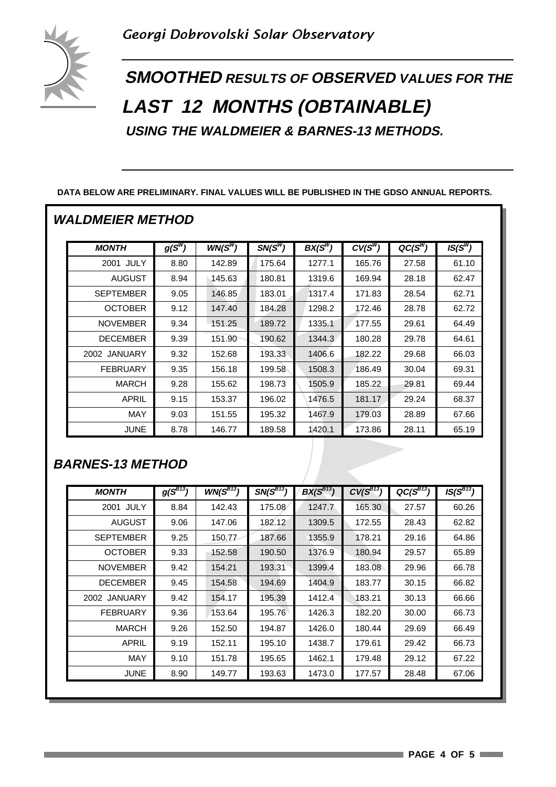

**SMOOTHED RESULTS OF OBSERVED VALUES FOR THE LAST 12 MONTHS (OBTAINABLE) USING THE WALDMEIER & BARNES-13 METHODS.**

#### **DATA BELOW ARE PRELIMINARY. FINAL VALUES WILL BE PUBLISHED IN THE GDSO ANNUAL REPORTS.**

#### **WALDMEIER METHOD**

| <b>MONTH</b>     | $g(S^W)$ | $WN(S^W)$ | $SN(S^W)$ | $BX(S^W)$ | $CV(S^W)$ | $QC(S^W)$ | $IS(S^W)$ |
|------------------|----------|-----------|-----------|-----------|-----------|-----------|-----------|
| JULY<br>2001     | 8.80     | 142.89    | 175.64    | 1277.1    | 165.76    | 27.58     | 61.10     |
| <b>AUGUST</b>    | 8.94     | 145.63    | 180.81    | 1319.6    | 169.94    | 28.18     | 62.47     |
| <b>SEPTEMBER</b> | 9.05     | 146.85    | 183.01    | 1317.4    | 171.83    | 28.54     | 62.71     |
| <b>OCTOBER</b>   | 9.12     | 147.40    | 184.28    | 1298.2    | 172.46    | 28.78     | 62.72     |
| <b>NOVEMBER</b>  | 9.34     | 151.25    | 189.72    | 1335.1    | 177.55    | 29.61     | 64.49     |
| <b>DECEMBER</b>  | 9.39     | 151.90    | 190.62    | 1344.3    | 180.28    | 29.78     | 64.61     |
| 2002 JANUARY     | 9.32     | 152.68    | 193.33    | 1406.6    | 182.22    | 29.68     | 66.03     |
| <b>FEBRUARY</b>  | 9.35     | 156.18    | 199.58    | 1508.3    | 186.49    | 30.04     | 69.31     |
| <b>MARCH</b>     | 9.28     | 155.62    | 198.73    | 1505.9    | 185.22    | 29.81     | 69.44     |
| APRIL            | 9.15     | 153.37    | 196.02    | 1476.5    | 181.17    | 29.24     | 68.37     |
| <b>MAY</b>       | 9.03     | 151.55    | 195.32    | 1467.9    | 179.03    | 28.89     | 67.66     |
| <b>JUNE</b>      | 8.78     | 146.77    | 189.58    | 1420.1    | 173.86    | 28.11     | 65.19     |

### **BARNES-13 METHOD**

|                  | $g(S^{B13})$ | $WN(S^{B13})$ | $SN(S^{\overline{B13}})$ | $BX(S^{B13})$ | $CV(S^{B13})$ | $QC(S^{B13})$ | $IS(S^{B13})$ |
|------------------|--------------|---------------|--------------------------|---------------|---------------|---------------|---------------|
| 2001 JULY        | 8.84         | 142.43        | 175.08                   | 1247.7        | 165.30        | 27.57         | 60.26         |
| <b>AUGUST</b>    | 9.06         | 147.06        | 182.12                   | 1309.5        | 172.55        | 28.43         | 62.82         |
| <b>SEPTEMBER</b> | 9.25         | 150.77        | 187.66                   | 1355.9        | 178.21        | 29.16         | 64.86         |
| <b>OCTOBER</b>   | 9.33         | 152.58        | 190.50                   | 1376.9        | 180.94        | 29.57         | 65.89         |
| <b>NOVEMBER</b>  | 9.42         | 154.21        | 193.31                   | 1399.4        | 183.08        | 29.96         | 66.78         |
| <b>DECEMBER</b>  | 9.45         | 154.58        | 194.69                   | 1404.9        | 183.77        | 30.15         | 66.82         |
| 2002 JANUARY     | 9.42         | 154.17        | 195.39                   | 1412.4        | 183.21        | 30.13         | 66.66         |
| <b>FEBRUARY</b>  | 9.36         | 153.64        | 195.76                   | 1426.3        | 182.20        | 30.00         | 66.73         |
| <b>MARCH</b>     | 9.26         | 152.50        | 194.87                   | 1426.0        | 180.44        | 29.69         | 66.49         |
| APRIL            | 9.19         | 152.11        | 195.10                   | 1438.7        | 179.61        | 29.42         | 66.73         |
| MAY              | 9.10         | 151.78        | 195.65                   | 1462.1        | 179.48        | 29.12         | 67.22         |
| <b>JUNE</b>      | 8.90         | 149.77        | 193.63                   | 1473.0        | 177.57        | 28.48         | 67.06         |